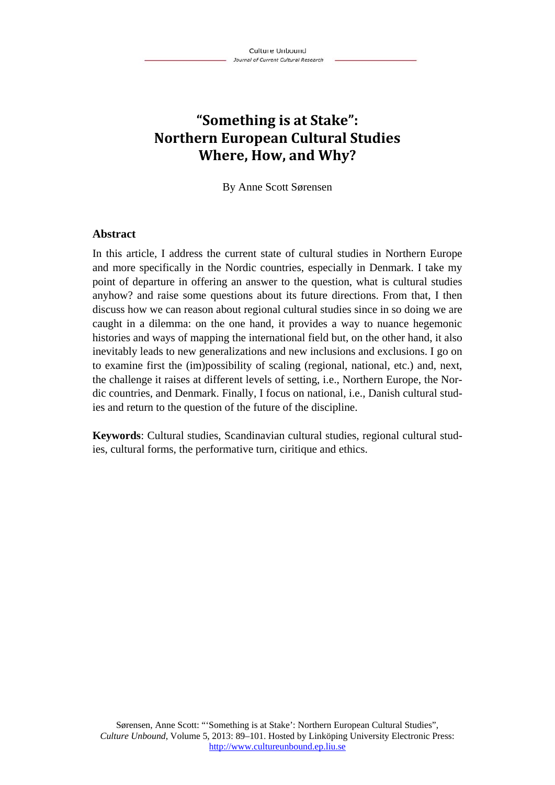# **"Something is at Stake": Northern European Cultural Studies Where, How, and Why?**

By Anne Scott Sørensen

#### **Abstract**

In this article, I address the current state of cultural studies in Northern Europe and more specifically in the Nordic countries, especially in Denmark. I take my point of departure in offering an answer to the question, what is cultural studies anyhow? and raise some questions about its future directions. From that, I then discuss how we can reason about regional cultural studies since in so doing we are caught in a dilemma: on the one hand, it provides a way to nuance hegemonic histories and ways of mapping the international field but, on the other hand, it also inevitably leads to new generalizations and new inclusions and exclusions. I go on to examine first the (im)possibility of scaling (regional, national, etc.) and, next, the challenge it raises at different levels of setting, i.e., Northern Europe, the Nordic countries, and Denmark. Finally, I focus on national, i.e., Danish cultural studies and return to the question of the future of the discipline.

**Keywords**: Cultural studies, Scandinavian cultural studies, regional cultural studies, cultural forms, the performative turn, ciritique and ethics.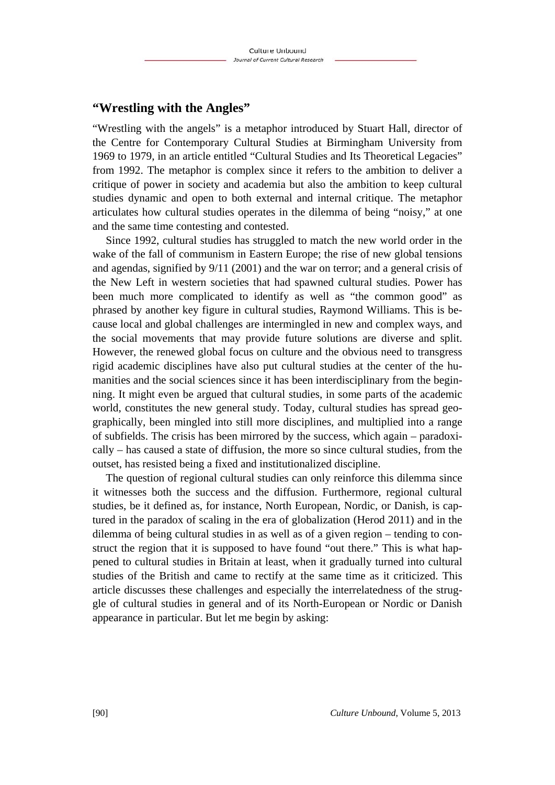#### **"Wrestling with the Angles"**

"Wrestling with the angels" is a metaphor introduced by Stuart Hall, director of the Centre for Contemporary Cultural Studies at Birmingham University from 1969 to 1979, in an article entitled "Cultural Studies and Its Theoretical Legacies" from 1992. The metaphor is complex since it refers to the ambition to deliver a critique of power in society and academia but also the ambition to keep cultural studies dynamic and open to both external and internal critique. The metaphor articulates how cultural studies operates in the dilemma of being "noisy," at one and the same time contesting and contested.

Since 1992, cultural studies has struggled to match the new world order in the wake of the fall of communism in Eastern Europe; the rise of new global tensions and agendas, signified by 9/11 (2001) and the war on terror; and a general crisis of the New Left in western societies that had spawned cultural studies. Power has been much more complicated to identify as well as "the common good" as phrased by another key figure in cultural studies, Raymond Williams. This is because local and global challenges are intermingled in new and complex ways, and the social movements that may provide future solutions are diverse and split. However, the renewed global focus on culture and the obvious need to transgress rigid academic disciplines have also put cultural studies at the center of the humanities and the social sciences since it has been interdisciplinary from the beginning. It might even be argued that cultural studies, in some parts of the academic world, constitutes the new general study. Today, cultural studies has spread geographically, been mingled into still more disciplines, and multiplied into a range of subfields. The crisis has been mirrored by the success, which again – paradoxically – has caused a state of diffusion, the more so since cultural studies, from the outset, has resisted being a fixed and institutionalized discipline.

The question of regional cultural studies can only reinforce this dilemma since it witnesses both the success and the diffusion. Furthermore, regional cultural studies, be it defined as, for instance, North European, Nordic, or Danish, is captured in the paradox of scaling in the era of globalization (Herod 2011) and in the dilemma of being cultural studies in as well as of a given region – tending to construct the region that it is supposed to have found "out there." This is what happened to cultural studies in Britain at least, when it gradually turned into cultural studies of the British and came to rectify at the same time as it criticized. This article discusses these challenges and especially the interrelatedness of the struggle of cultural studies in general and of its North-European or Nordic or Danish appearance in particular. But let me begin by asking: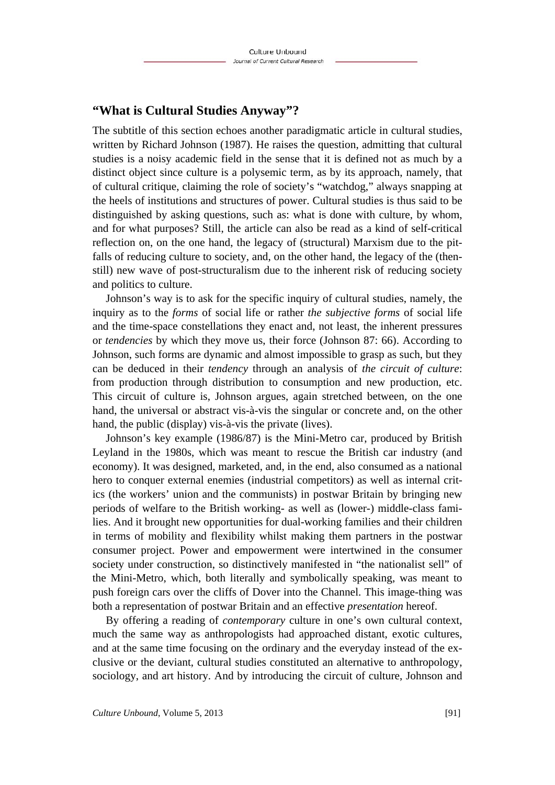#### **"What is Cultural Studies Anyway"?**

The subtitle of this section echoes another paradigmatic article in cultural studies, written by Richard Johnson (1987). He raises the question, admitting that cultural studies is a noisy academic field in the sense that it is defined not as much by a distinct object since culture is a polysemic term, as by its approach, namely, that of cultural critique, claiming the role of society's "watchdog," always snapping at the heels of institutions and structures of power. Cultural studies is thus said to be distinguished by asking questions, such as: what is done with culture, by whom, and for what purposes? Still, the article can also be read as a kind of self-critical reflection on, on the one hand, the legacy of (structural) Marxism due to the pitfalls of reducing culture to society, and, on the other hand, the legacy of the (thenstill) new wave of post-structuralism due to the inherent risk of reducing society and politics to culture.

Johnson's way is to ask for the specific inquiry of cultural studies, namely, the inquiry as to the *forms* of social life or rather *the subjective forms* of social life and the time-space constellations they enact and, not least, the inherent pressures or *tendencies* by which they move us, their force (Johnson 87: 66). According to Johnson, such forms are dynamic and almost impossible to grasp as such, but they can be deduced in their *tendency* through an analysis of *the circuit of culture*: from production through distribution to consumption and new production, etc. This circuit of culture is, Johnson argues, again stretched between, on the one hand, the universal or abstract vis-à-vis the singular or concrete and, on the other hand, the public (display) vis-à-vis the private (lives).

Johnson's key example (1986/87) is the Mini-Metro car, produced by British Leyland in the 1980s, which was meant to rescue the British car industry (and economy). It was designed, marketed, and, in the end, also consumed as a national hero to conquer external enemies (industrial competitors) as well as internal critics (the workers' union and the communists) in postwar Britain by bringing new periods of welfare to the British working- as well as (lower-) middle-class families. And it brought new opportunities for dual-working families and their children in terms of mobility and flexibility whilst making them partners in the postwar consumer project. Power and empowerment were intertwined in the consumer society under construction, so distinctively manifested in "the nationalist sell" of the Mini-Metro, which, both literally and symbolically speaking, was meant to push foreign cars over the cliffs of Dover into the Channel. This image-thing was both a representation of postwar Britain and an effective *presentation* hereof.

By offering a reading of *contemporary* culture in one's own cultural context, much the same way as anthropologists had approached distant, exotic cultures, and at the same time focusing on the ordinary and the everyday instead of the exclusive or the deviant, cultural studies constituted an alternative to anthropology, sociology, and art history. And by introducing the circuit of culture, Johnson and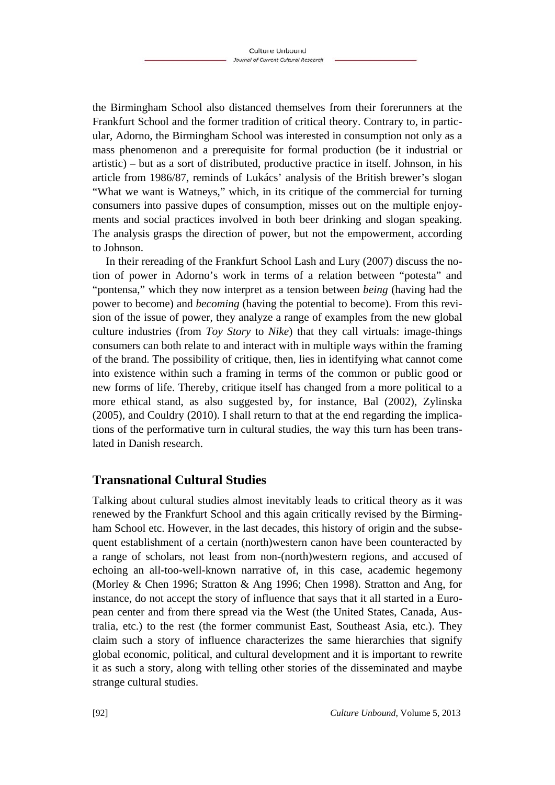the Birmingham School also distanced themselves from their forerunners at the Frankfurt School and the former tradition of critical theory. Contrary to, in particular, Adorno, the Birmingham School was interested in consumption not only as a mass phenomenon and a prerequisite for formal production (be it industrial or artistic) – but as a sort of distributed, productive practice in itself. Johnson, in his article from 1986/87, reminds of Lukács' analysis of the British brewer's slogan "What we want is Watneys," which, in its critique of the commercial for turning consumers into passive dupes of consumption, misses out on the multiple enjoyments and social practices involved in both beer drinking and slogan speaking. The analysis grasps the direction of power, but not the empowerment, according to Johnson.

In their rereading of the Frankfurt School Lash and Lury (2007) discuss the notion of power in Adorno's work in terms of a relation between "potesta" and "pontensa," which they now interpret as a tension between *being* (having had the power to become) and *becoming* (having the potential to become). From this revision of the issue of power, they analyze a range of examples from the new global culture industries (from *Toy Story* to *Nike*) that they call virtuals: image-things consumers can both relate to and interact with in multiple ways within the framing of the brand. The possibility of critique, then, lies in identifying what cannot come into existence within such a framing in terms of the common or public good or new forms of life. Thereby, critique itself has changed from a more political to a more ethical stand, as also suggested by, for instance, Bal (2002), Zylinska (2005), and Couldry (2010). I shall return to that at the end regarding the implications of the performative turn in cultural studies, the way this turn has been translated in Danish research.

# **Transnational Cultural Studies**

Talking about cultural studies almost inevitably leads to critical theory as it was renewed by the Frankfurt School and this again critically revised by the Birmingham School etc. However, in the last decades, this history of origin and the subsequent establishment of a certain (north)western canon have been counteracted by a range of scholars, not least from non-(north)western regions, and accused of echoing an all-too-well-known narrative of, in this case, academic hegemony (Morley & Chen 1996; Stratton & Ang 1996; Chen 1998). Stratton and Ang, for instance, do not accept the story of influence that says that it all started in a European center and from there spread via the West (the United States, Canada, Australia, etc.) to the rest (the former communist East, Southeast Asia, etc.). They claim such a story of influence characterizes the same hierarchies that signify global economic, political, and cultural development and it is important to rewrite it as such a story, along with telling other stories of the disseminated and maybe strange cultural studies.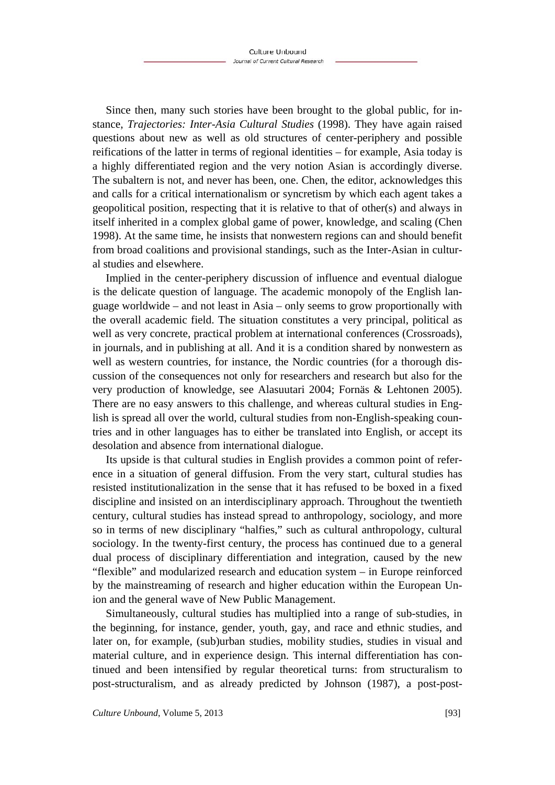Since then, many such stories have been brought to the global public, for instance, *Trajectories: Inter-Asia Cultural Studies* (1998). They have again raised questions about new as well as old structures of center-periphery and possible reifications of the latter in terms of regional identities – for example, Asia today is a highly differentiated region and the very notion Asian is accordingly diverse. The subaltern is not, and never has been, one. Chen, the editor, acknowledges this and calls for a critical internationalism or syncretism by which each agent takes a geopolitical position, respecting that it is relative to that of other(s) and always in itself inherited in a complex global game of power, knowledge, and scaling (Chen 1998). At the same time, he insists that nonwestern regions can and should benefit from broad coalitions and provisional standings, such as the Inter-Asian in cultural studies and elsewhere.

Implied in the center-periphery discussion of influence and eventual dialogue is the delicate question of language. The academic monopoly of the English language worldwide – and not least in Asia – only seems to grow proportionally with the overall academic field. The situation constitutes a very principal, political as well as very concrete, practical problem at international conferences (Crossroads), in journals, and in publishing at all. And it is a condition shared by nonwestern as well as western countries, for instance, the Nordic countries (for a thorough discussion of the consequences not only for researchers and research but also for the very production of knowledge, see Alasuutari 2004; Fornäs & Lehtonen 2005). There are no easy answers to this challenge, and whereas cultural studies in English is spread all over the world, cultural studies from non-English-speaking countries and in other languages has to either be translated into English, or accept its desolation and absence from international dialogue.

Its upside is that cultural studies in English provides a common point of reference in a situation of general diffusion. From the very start, cultural studies has resisted institutionalization in the sense that it has refused to be boxed in a fixed discipline and insisted on an interdisciplinary approach. Throughout the twentieth century, cultural studies has instead spread to anthropology, sociology, and more so in terms of new disciplinary "halfies," such as cultural anthropology, cultural sociology. In the twenty-first century, the process has continued due to a general dual process of disciplinary differentiation and integration, caused by the new "flexible" and modularized research and education system – in Europe reinforced by the mainstreaming of research and higher education within the European Union and the general wave of New Public Management.

Simultaneously, cultural studies has multiplied into a range of sub-studies, in the beginning, for instance, gender, youth, gay, and race and ethnic studies, and later on, for example, (sub)urban studies, mobility studies, studies in visual and material culture, and in experience design. This internal differentiation has continued and been intensified by regular theoretical turns: from structuralism to post-structuralism, and as already predicted by Johnson (1987), a post-post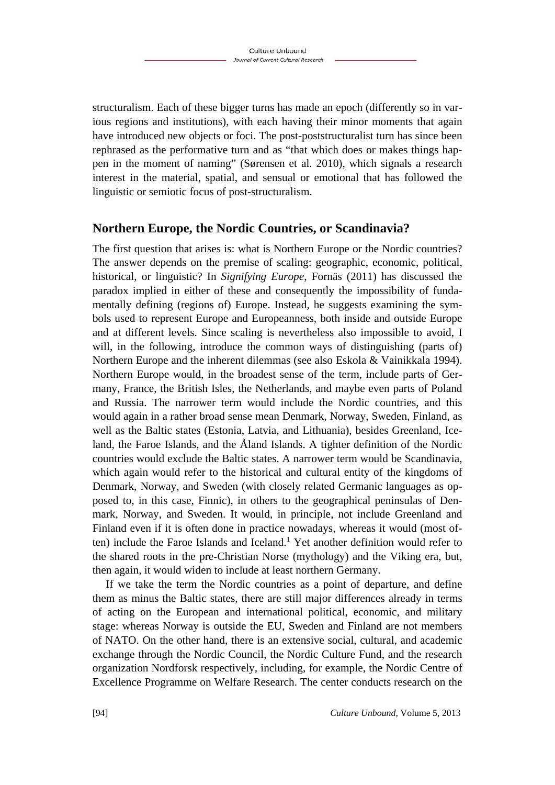structuralism. Each of these bigger turns has made an epoch (differently so in various regions and institutions), with each having their minor moments that again have introduced new objects or foci. The post-poststructuralist turn has since been rephrased as the performative turn and as "that which does or makes things happen in the moment of naming" (Sørensen et al. 2010), which signals a research interest in the material, spatial, and sensual or emotional that has followed the linguistic or semiotic focus of post-structuralism.

#### **Northern Europe, the Nordic Countries, or Scandinavia?**

The first question that arises is: what is Northern Europe or the Nordic countries? The answer depends on the premise of scaling: geographic, economic, political, historical, or linguistic? In *Signifying Europe*, Fornäs (2011) has discussed the paradox implied in either of these and consequently the impossibility of fundamentally defining (regions of) Europe. Instead, he suggests examining the symbols used to represent Europe and Europeanness, both inside and outside Europe and at different levels. Since scaling is nevertheless also impossible to avoid, I will, in the following, introduce the common ways of distinguishing (parts of) Northern Europe and the inherent dilemmas (see also Eskola & Vainikkala 1994). Northern Europe would, in the broadest sense of the term, include parts of Germany, France, the British Isles, the Netherlands, and maybe even parts of Poland and Russia. The narrower term would include the Nordic countries, and this would again in a rather broad sense mean Denmark, Norway, Sweden, Finland, as well as the Baltic states (Estonia, Latvia, and Lithuania), besides Greenland, Iceland, the Faroe Islands, and the Åland Islands. A tighter definition of the Nordic countries would exclude the Baltic states. A narrower term would be Scandinavia, which again would refer to the historical and cultural entity of the kingdoms of Denmark, Norway, and Sweden (with closely related Germanic languages as opposed to, in this case, Finnic), in others to the geographical peninsulas of Denmark, Norway, and Sweden. It would, in principle, not include Greenland and Finland even if it is often done in practice nowadays, whereas it would (most often) include the Faroe Islands and Iceland.<sup>1</sup> Yet another definition would refer to the shared roots in the pre-Christian Norse (mythology) and the Viking era, but, then again, it would widen to include at least northern Germany.

If we take the term the Nordic countries as a point of departure, and define them as minus the Baltic states, there are still major differences already in terms of acting on the European and international political, economic, and military stage: whereas Norway is outside the EU, Sweden and Finland are not members of NATO. On the other hand, there is an extensive social, cultural, and academic exchange through the Nordic Council, the Nordic Culture Fund, and the research organization Nordforsk respectively, including, for example, the Nordic Centre of Excellence Programme on Welfare Research. The center conducts research on the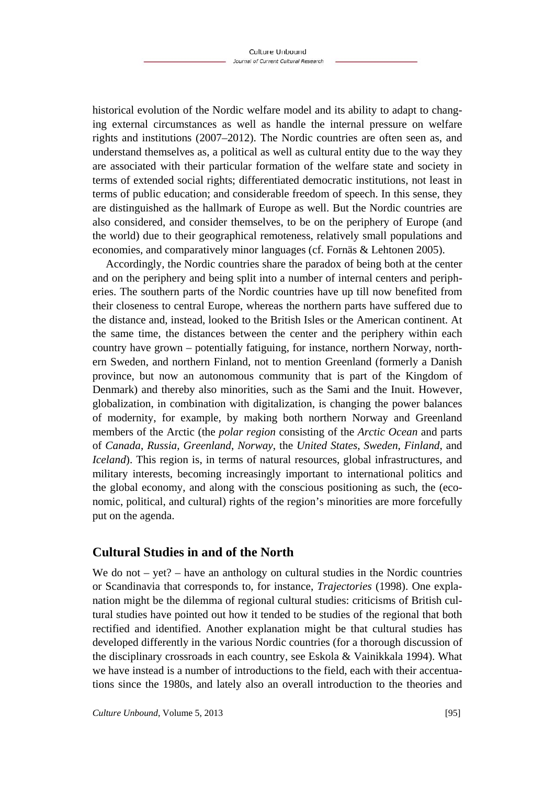historical evolution of the Nordic welfare model and its ability to adapt to changing external circumstances as well as handle the internal pressure on welfare rights and institutions (2007–2012). The Nordic countries are often seen as, and understand themselves as, a political as well as cultural entity due to the way they are associated with their particular formation of the welfare state and society in terms of extended social rights; differentiated democratic institutions, not least in terms of public education; and considerable freedom of speech. In this sense, they are distinguished as the hallmark of Europe as well. But the Nordic countries are also considered, and consider themselves, to be on the periphery of Europe (and the world) due to their geographical remoteness, relatively small populations and economies, and comparatively minor languages (cf. Fornäs & Lehtonen 2005).

Accordingly, the Nordic countries share the paradox of being both at the center and on the periphery and being split into a number of internal centers and peripheries. The southern parts of the Nordic countries have up till now benefited from their closeness to central Europe, whereas the northern parts have suffered due to the distance and, instead, looked to the British Isles or the American continent. At the same time, the distances between the center and the periphery within each country have grown – potentially fatiguing, for instance, northern Norway, northern Sweden, and northern Finland, not to mention Greenland (formerly a Danish province, but now an autonomous community that is part of the Kingdom of Denmark) and thereby also minorities, such as the Sami and the Inuit. However, globalization, in combination with digitalization, is changing the power balances of modernity, for example, by making both northern Norway and Greenland members of the Arctic (the *polar region* consisting of the *Arctic Ocean* and parts of *Canada*, *Russia*, *Greenland*, *Norway*, the *United States*, *Sweden*, *Finland*, and *Iceland*). This region is, in terms of natural resources, global infrastructures, and military interests, becoming increasingly important to international politics and the global economy, and along with the conscious positioning as such, the (economic, political, and cultural) rights of the region's minorities are more forcefully put on the agenda.

# **Cultural Studies in and of the North**

We do not  $-$  yet?  $-$  have an anthology on cultural studies in the Nordic countries or Scandinavia that corresponds to, for instance, *Trajectories* (1998). One explanation might be the dilemma of regional cultural studies: criticisms of British cultural studies have pointed out how it tended to be studies of the regional that both rectified and identified. Another explanation might be that cultural studies has developed differently in the various Nordic countries (for a thorough discussion of the disciplinary crossroads in each country, see Eskola & Vainikkala 1994). What we have instead is a number of introductions to the field, each with their accentuations since the 1980s, and lately also an overall introduction to the theories and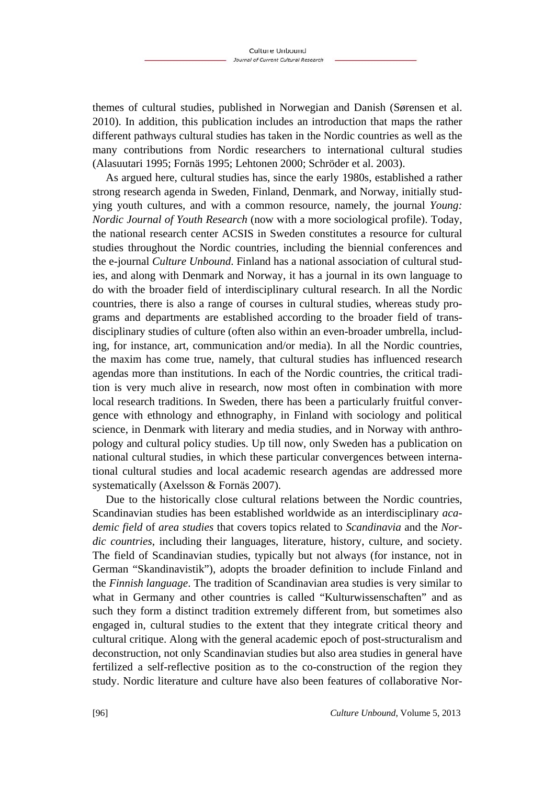themes of cultural studies, published in Norwegian and Danish (Sørensen et al. 2010). In addition, this publication includes an introduction that maps the rather different pathways cultural studies has taken in the Nordic countries as well as the many contributions from Nordic researchers to international cultural studies (Alasuutari 1995; Fornäs 1995; Lehtonen 2000; Schröder et al. 2003).

As argued here, cultural studies has, since the early 1980s, established a rather strong research agenda in Sweden, Finland, Denmark, and Norway, initially studying youth cultures, and with a common resource, namely, the journal *Young: Nordic Journal of Youth Research* (now with a more sociological profile). Today, the national research center ACSIS in Sweden constitutes a resource for cultural studies throughout the Nordic countries, including the biennial conferences and the e-journal *Culture Unbound*. Finland has a national association of cultural studies, and along with Denmark and Norway, it has a journal in its own language to do with the broader field of interdisciplinary cultural research. In all the Nordic countries, there is also a range of courses in cultural studies, whereas study programs and departments are established according to the broader field of transdisciplinary studies of culture (often also within an even-broader umbrella, including, for instance, art, communication and/or media). In all the Nordic countries, the maxim has come true, namely, that cultural studies has influenced research agendas more than institutions. In each of the Nordic countries, the critical tradition is very much alive in research, now most often in combination with more local research traditions. In Sweden, there has been a particularly fruitful convergence with ethnology and ethnography, in Finland with sociology and political science, in Denmark with literary and media studies, and in Norway with anthropology and cultural policy studies. Up till now, only Sweden has a publication on national cultural studies, in which these particular convergences between international cultural studies and local academic research agendas are addressed more systematically (Axelsson & Fornäs 2007).

Due to the historically close cultural relations between the Nordic countries, Scandinavian studies has been established worldwide as an interdisciplinary *academic field* of *area studies* that covers topics related to *Scandinavia* and the *Nordic countries*, including their languages, literature, history, culture, and society. The field of Scandinavian studies, typically but not always (for instance, not in German "Skandinavistik"), adopts the broader definition to include Finland and the *Finnish language*. The tradition of Scandinavian area studies is very similar to what in Germany and other countries is called "Kulturwissenschaften" and as such they form a distinct tradition extremely different from, but sometimes also engaged in, cultural studies to the extent that they integrate critical theory and cultural critique. Along with the general academic epoch of post-structuralism and deconstruction, not only Scandinavian studies but also area studies in general have fertilized a self-reflective position as to the co-construction of the region they study. Nordic literature and culture have also been features of collaborative Nor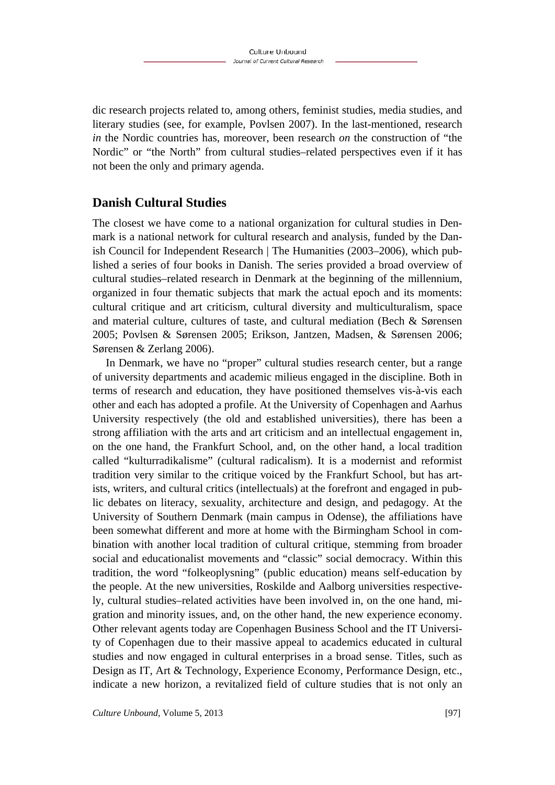dic research projects related to, among others, feminist studies, media studies, and literary studies (see, for example, Povlsen 2007). In the last-mentioned, research *in* the Nordic countries has, moreover, been research *on* the construction of "the Nordic" or "the North" from cultural studies–related perspectives even if it has not been the only and primary agenda.

# **Danish Cultural Studies**

The closest we have come to a national organization for cultural studies in Denmark is a national network for cultural research and analysis, funded by the Danish Council for Independent Research | The Humanities (2003–2006), which published a series of four books in Danish. The series provided a broad overview of cultural studies–related research in Denmark at the beginning of the millennium, organized in four thematic subjects that mark the actual epoch and its moments: cultural critique and art criticism, cultural diversity and multiculturalism, space and material culture, cultures of taste, and cultural mediation (Bech & Sørensen 2005; Povlsen & Sørensen 2005; Erikson, Jantzen, Madsen, & Sørensen 2006; Sørensen & Zerlang 2006).

In Denmark, we have no "proper" cultural studies research center, but a range of university departments and academic milieus engaged in the discipline. Both in terms of research and education, they have positioned themselves vis-à-vis each other and each has adopted a profile. At the University of Copenhagen and Aarhus University respectively (the old and established universities), there has been a strong affiliation with the arts and art criticism and an intellectual engagement in, on the one hand, the Frankfurt School, and, on the other hand, a local tradition called "kulturradikalisme" (cultural radicalism). It is a modernist and reformist tradition very similar to the critique voiced by the Frankfurt School, but has artists, writers, and cultural critics (intellectuals) at the forefront and engaged in public debates on literacy, sexuality, architecture and design, and pedagogy. At the University of Southern Denmark (main campus in Odense), the affiliations have been somewhat different and more at home with the Birmingham School in combination with another local tradition of cultural critique, stemming from broader social and educationalist movements and "classic" social democracy. Within this tradition, the word "folkeoplysning" (public education) means self-education by the people. At the new universities, Roskilde and Aalborg universities respectively, cultural studies–related activities have been involved in, on the one hand, migration and minority issues, and, on the other hand, the new experience economy. Other relevant agents today are Copenhagen Business School and the IT University of Copenhagen due to their massive appeal to academics educated in cultural studies and now engaged in cultural enterprises in a broad sense. Titles, such as Design as IT, Art & Technology, Experience Economy, Performance Design, etc., indicate a new horizon, a revitalized field of culture studies that is not only an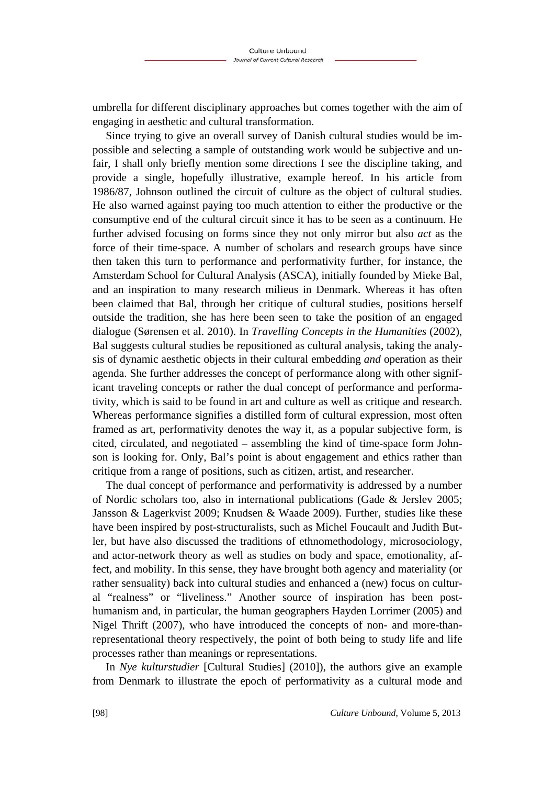umbrella for different disciplinary approaches but comes together with the aim of engaging in aesthetic and cultural transformation.

Since trying to give an overall survey of Danish cultural studies would be impossible and selecting a sample of outstanding work would be subjective and unfair, I shall only briefly mention some directions I see the discipline taking, and provide a single, hopefully illustrative, example hereof. In his article from 1986/87, Johnson outlined the circuit of culture as the object of cultural studies. He also warned against paying too much attention to either the productive or the consumptive end of the cultural circuit since it has to be seen as a continuum. He further advised focusing on forms since they not only mirror but also *act* as the force of their time-space. A number of scholars and research groups have since then taken this turn to performance and performativity further, for instance, the Amsterdam School for Cultural Analysis (ASCA), initially founded by Mieke Bal, and an inspiration to many research milieus in Denmark. Whereas it has often been claimed that Bal, through her critique of cultural studies, positions herself outside the tradition, she has here been seen to take the position of an engaged dialogue (Sørensen et al. 2010). In *Travelling Concepts in the Humanities* (2002), Bal suggests cultural studies be repositioned as cultural analysis, taking the analysis of dynamic aesthetic objects in their cultural embedding *and* operation as their agenda. She further addresses the concept of performance along with other significant traveling concepts or rather the dual concept of performance and performativity, which is said to be found in art and culture as well as critique and research. Whereas performance signifies a distilled form of cultural expression, most often framed as art, performativity denotes the way it, as a popular subjective form, is cited, circulated, and negotiated – assembling the kind of time-space form Johnson is looking for. Only, Bal's point is about engagement and ethics rather than critique from a range of positions, such as citizen, artist, and researcher.

The dual concept of performance and performativity is addressed by a number of Nordic scholars too, also in international publications (Gade & Jerslev 2005; Jansson & Lagerkvist 2009; Knudsen & Waade 2009). Further, studies like these have been inspired by post-structuralists, such as Michel Foucault and Judith Butler, but have also discussed the traditions of ethnomethodology, microsociology, and actor-network theory as well as studies on body and space, emotionality, affect, and mobility. In this sense, they have brought both agency and materiality (or rather sensuality) back into cultural studies and enhanced a (new) focus on cultural "realness" or "liveliness." Another source of inspiration has been posthumanism and, in particular, the human geographers Hayden Lorrimer (2005) and Nigel Thrift (2007), who have introduced the concepts of non- and more-thanrepresentational theory respectively, the point of both being to study life and life processes rather than meanings or representations.

In *Nye kulturstudier* [Cultural Studies] (2010]), the authors give an example from Denmark to illustrate the epoch of performativity as a cultural mode and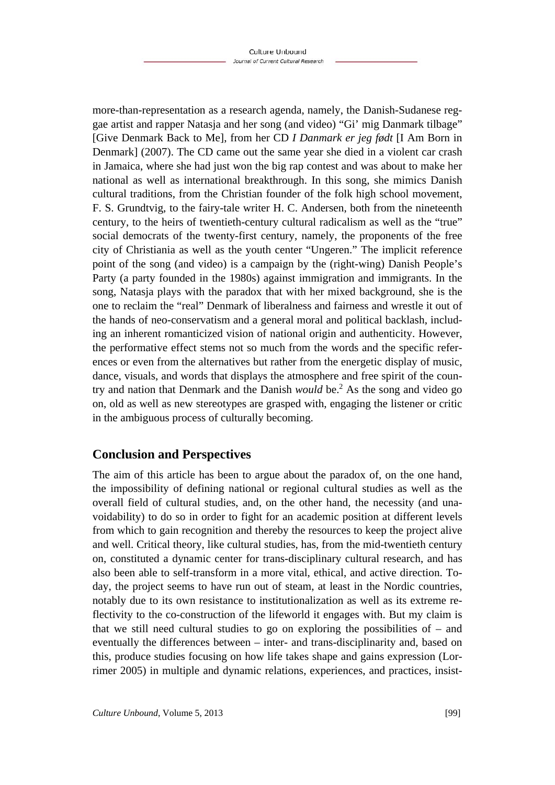more-than-representation as a research agenda, namely, the Danish-Sudanese reggae artist and rapper Natasja and her song (and video) "Gi' mig Danmark tilbage" [Give Denmark Back to Me], from her CD *I Danmark er jeg født* [I Am Born in Denmark] (2007). The CD came out the same year she died in a violent car crash in Jamaica, where she had just won the big rap contest and was about to make her national as well as international breakthrough. In this song, she mimics Danish cultural traditions, from the Christian founder of the folk high school movement, F. S. Grundtvig, to the fairy-tale writer H. C. Andersen, both from the nineteenth century, to the heirs of twentieth-century cultural radicalism as well as the "true" social democrats of the twenty-first century, namely, the proponents of the free city of Christiania as well as the youth center "Ungeren." The implicit reference point of the song (and video) is a campaign by the (right-wing) Danish People's Party (a party founded in the 1980s) against immigration and immigrants. In the song, Natasja plays with the paradox that with her mixed background, she is the one to reclaim the "real" Denmark of liberalness and fairness and wrestle it out of the hands of neo-conservatism and a general moral and political backlash, including an inherent romanticized vision of national origin and authenticity. However, the performative effect stems not so much from the words and the specific references or even from the alternatives but rather from the energetic display of music, dance, visuals, and words that displays the atmosphere and free spirit of the country and nation that Denmark and the Danish *would* be.2 As the song and video go on, old as well as new stereotypes are grasped with, engaging the listener or critic in the ambiguous process of culturally becoming.

# **Conclusion and Perspectives**

The aim of this article has been to argue about the paradox of, on the one hand, the impossibility of defining national or regional cultural studies as well as the overall field of cultural studies, and, on the other hand, the necessity (and unavoidability) to do so in order to fight for an academic position at different levels from which to gain recognition and thereby the resources to keep the project alive and well. Critical theory, like cultural studies, has, from the mid-twentieth century on, constituted a dynamic center for trans-disciplinary cultural research, and has also been able to self-transform in a more vital, ethical, and active direction. Today, the project seems to have run out of steam, at least in the Nordic countries, notably due to its own resistance to institutionalization as well as its extreme reflectivity to the co-construction of the lifeworld it engages with. But my claim is that we still need cultural studies to go on exploring the possibilities of – and eventually the differences between – inter- and trans-disciplinarity and, based on this, produce studies focusing on how life takes shape and gains expression (Lorrimer 2005) in multiple and dynamic relations, experiences, and practices, insist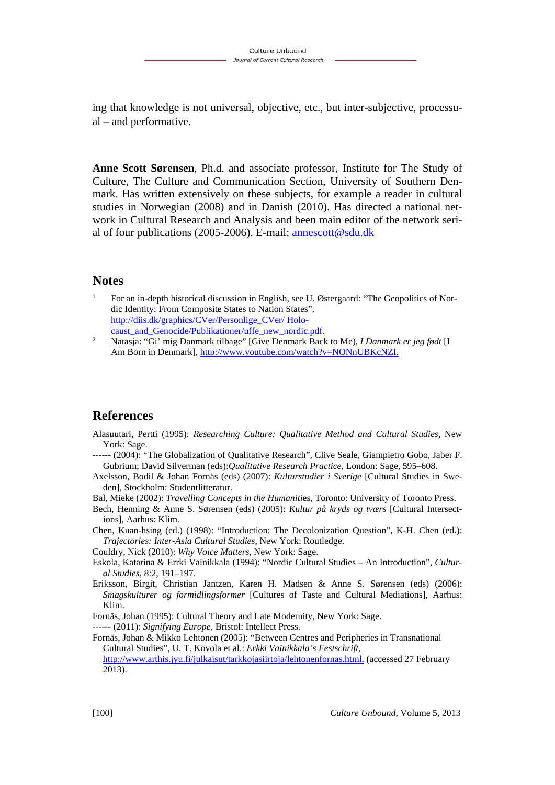ing that knowledge is not universal, objective, etc., but inter-subjective, processual – and performative.

**Anne Scott Sørensen**, Ph.d. and associate professor, Institute for The Study of Culture, The Culture and Communication Section, University of Southern Denmark. Has written extensively on these subjects, for example a reader in cultural studies in Norwegian (2008) and in Danish (2010). Has directed a national network in Cultural Research and Analysis and been main editor of the network serial of four publications (2005-2006). E-mail: annescott@sdu.dk

#### **Notes**

- 1 For an in-depth historical discussion in English, see U. Østergaard: "The Geopolitics of Nordic Identity: From Composite States to Nation States", http://diis.dk/graphics/CVer/Personlige\_CVer/ Holocaust\_and\_Genocide/Publikationer/uffe\_new\_nordic.pdf.
- 2 Natasja: "Gi' mig Danmark tilbage" [Give Denmark Back to Me), *I Danmark er jeg født* [I Am Born in Denmark], http://www.youtube.com/watch?v=NONnUBKcNZI.

#### **References**

- Alasuutari, Pertti (1995): *Researching Culture: Qualitative Method and Cultural Studies*, New York: Sage.
- ------ (2004): "The Globalization of Qualitative Research", Clive Seale, Giampietro Gobo, Jaber F. Gubrium; David Silverman (eds):*Qualitative Research Practice*, London: Sage, 595–608.
- Axelsson, Bodil & Johan Fornäs (eds) (2007): *Kulturstudier i Sverige* [Cultural Studies in Sweden], Stockholm: Studentlitteratur.

Bal, Mieke (2002): *Travelling Concepts in the Humaniti*es, Toronto: University of Toronto Press.

- Bech, Henning & Anne S. Sørensen (eds) (2005): *Kultur på kryds og tværs* [Cultural Intersections], Aarhus: Klim.
- Chen, Kuan-hsing (ed.) (1998): "Introduction: The Decolonization Question", K-H. Chen (ed.): *Trajectories: Inter-Asia Cultural Studies*, New York: Routledge.
- Couldry, Nick (2010): *Why Voice Matters*, New York: Sage.
- Eskola, Katarina & Errki Vainikkala (1994): "Nordic Cultural Studies An Introduction", *Cultural Studies*, 8:2, 191–197.
- Eriksson, Birgit, Christian Jantzen, Karen H. Madsen & Anne S. Sørensen (eds) (2006): *Smagskulturer og formidlingsformer* [Cultures of Taste and Cultural Mediations], Aarhus: Klim.
- Fornäs, Johan (1995): Cultural Theory and Late Modernity, New York: Sage.
- ------ (2011): *Signifying Europe*, Bristol: Intellect Press.

Fornäs, Johan & Mikko Lehtonen (2005): "Between Centres and Peripheries in Transnational Cultural Studies", U. T. Kovola et al.: *Erkki Vainikkala's Festschrift*, http://www.arthis.jyu.fi/julkaisut/tarkkojasiirtoja/lehtonenfornas.html. (accessed 27 February 2013).